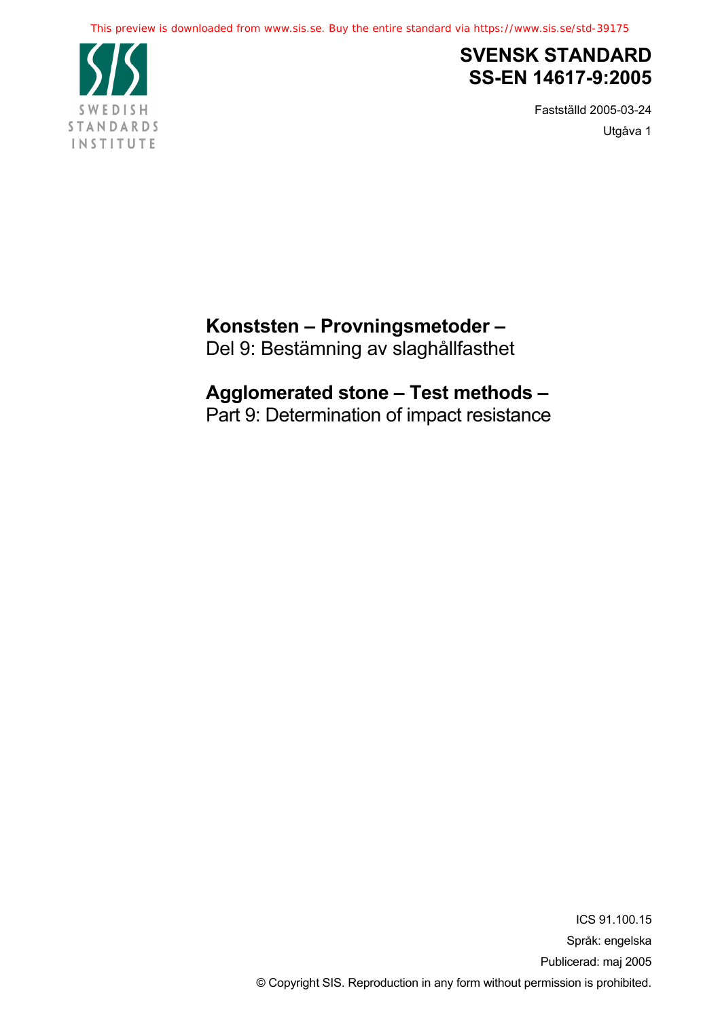

# **SVENSK STANDARD SS-EN 14617-9:2005**

Fastställd 2005-03-24 Utgåva 1

## **Konststen – Provningsmetoder –**

Del 9: Bestämning av slaghållfasthet

# **Agglomerated stone – Test methods –**

Part 9: Determination of impact resistance

ICS 91.100.15 Språk: engelska Publicerad: maj 2005 © Copyright SIS. Reproduction in any form without permission is prohibited.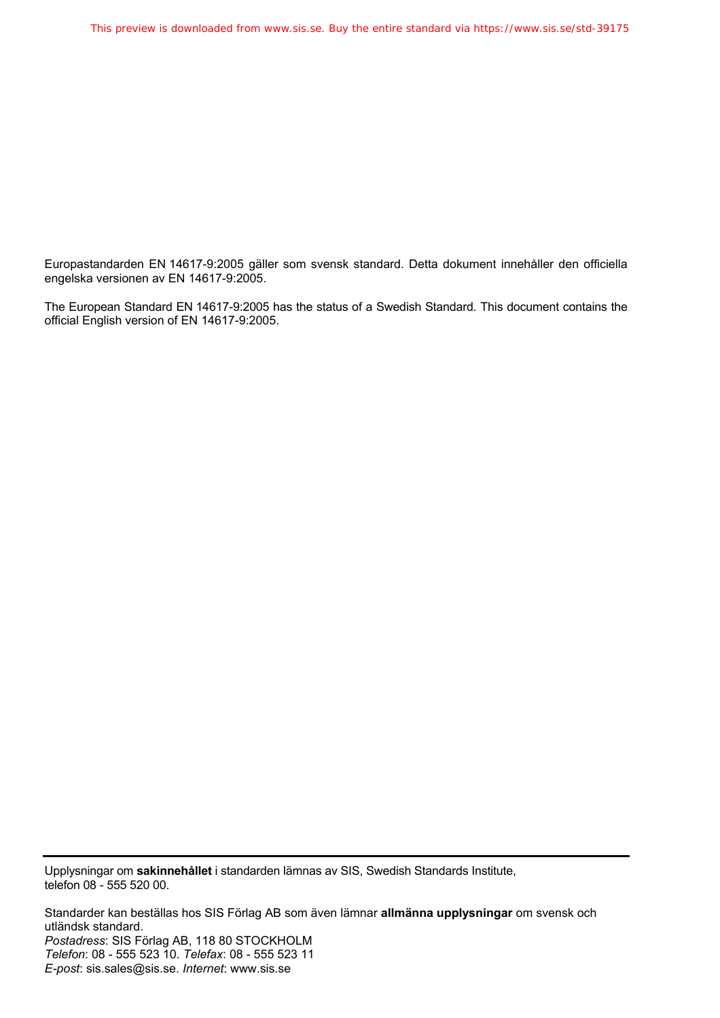Europastandarden EN 14617-9:2005 gäller som svensk standard. Detta dokument innehåller den officiella engelska versionen av EN 14617-9:2005.

The European Standard EN 14617-9:2005 has the status of a Swedish Standard. This document contains the official English version of EN 14617-9:2005.

Upplysningar om **sakinnehållet** i standarden lämnas av SIS, Swedish Standards Institute, telefon 08 - 555 520 00.

Standarder kan beställas hos SIS Förlag AB som även lämnar **allmänna upplysningar** om svensk och utländsk standard. *Postadress*: SIS Förlag AB, 118 80 STOCKHOLM *Telefon*: 08 - 555 523 10. *Telefax*: 08 - 555 523 11 *E-post*: sis.sales@sis.se. *Internet*: www.sis.se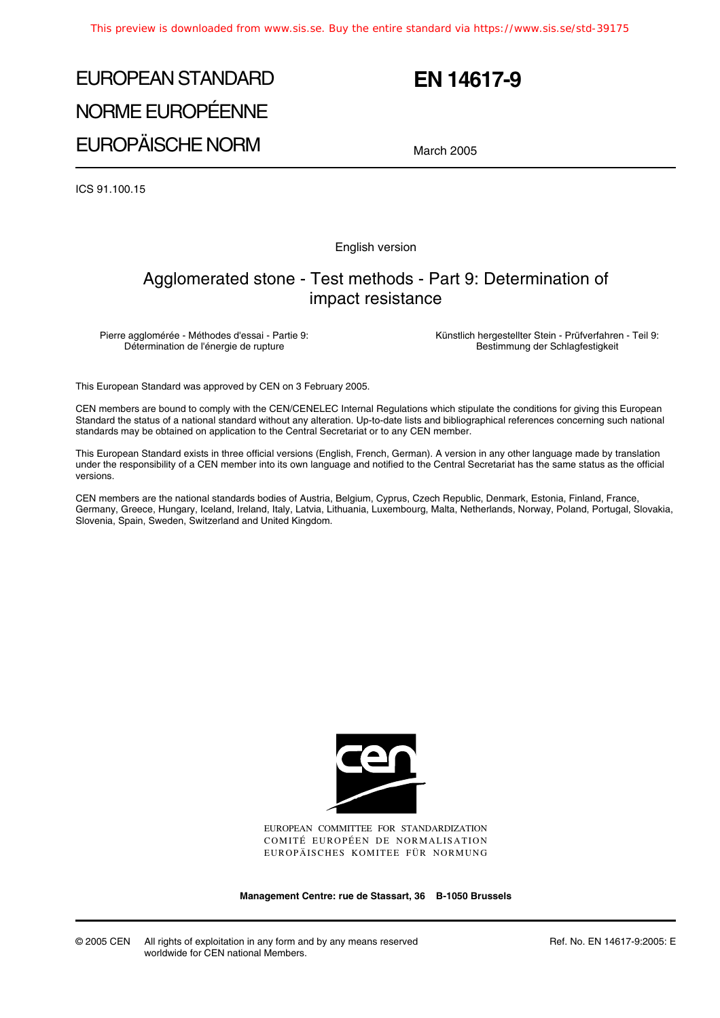# EUROPEAN STANDARD NORME EUROPÉENNE EUROPÄISCHE NORM

# **EN 14617-9**

March 2005

ICS 91.100.15

English version

### Agglomerated stone - Test methods - Part 9: Determination of impact resistance

Pierre agglomérée - Méthodes d'essai - Partie 9: Détermination de l'énergie de rupture

Künstlich hergestellter Stein - Prüfverfahren - Teil 9: Bestimmung der Schlagfestigkeit

This European Standard was approved by CEN on 3 February 2005.

CEN members are bound to comply with the CEN/CENELEC Internal Regulations which stipulate the conditions for giving this European Standard the status of a national standard without any alteration. Up-to-date lists and bibliographical references concerning such national standards may be obtained on application to the Central Secretariat or to any CEN member.

This European Standard exists in three official versions (English, French, German). A version in any other language made by translation under the responsibility of a CEN member into its own language and notified to the Central Secretariat has the same status as the official versions.

CEN members are the national standards bodies of Austria, Belgium, Cyprus, Czech Republic, Denmark, Estonia, Finland, France, Germany, Greece, Hungary, Iceland, Ireland, Italy, Latvia, Lithuania, Luxembourg, Malta, Netherlands, Norway, Poland, Portugal, Slovakia, Slovenia, Spain, Sweden, Switzerland and United Kingdom.



EUROPEAN COMMITTEE FOR STANDARDIZATION COMITÉ EUROPÉEN DE NORMALISATION EUROPÄISCHES KOMITEE FÜR NORMUNG

**Management Centre: rue de Stassart, 36 B-1050 Brussels**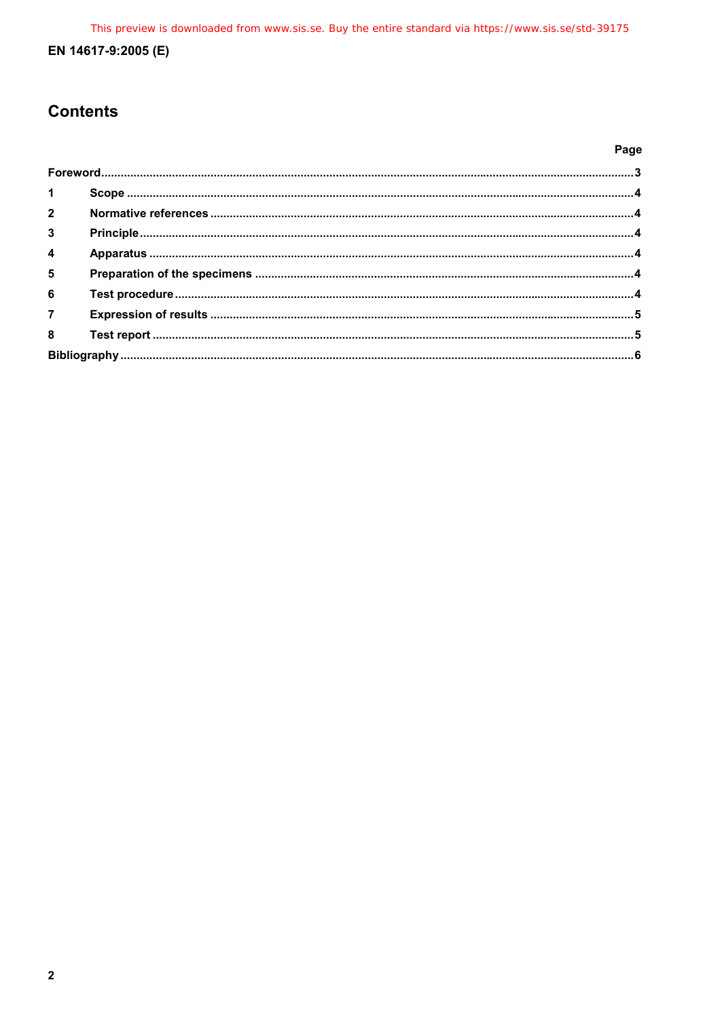### EN 14617-9:2005 (E)

### **Contents**

|                         |  | Page |
|-------------------------|--|------|
|                         |  |      |
| $\mathbf 1$             |  |      |
| $2^{\circ}$             |  |      |
| $\overline{3}$          |  |      |
| $\overline{\mathbf{4}}$ |  |      |
| $5\phantom{a}$          |  |      |
| 6                       |  |      |
| $\overline{7}$          |  |      |
| 8                       |  |      |
|                         |  |      |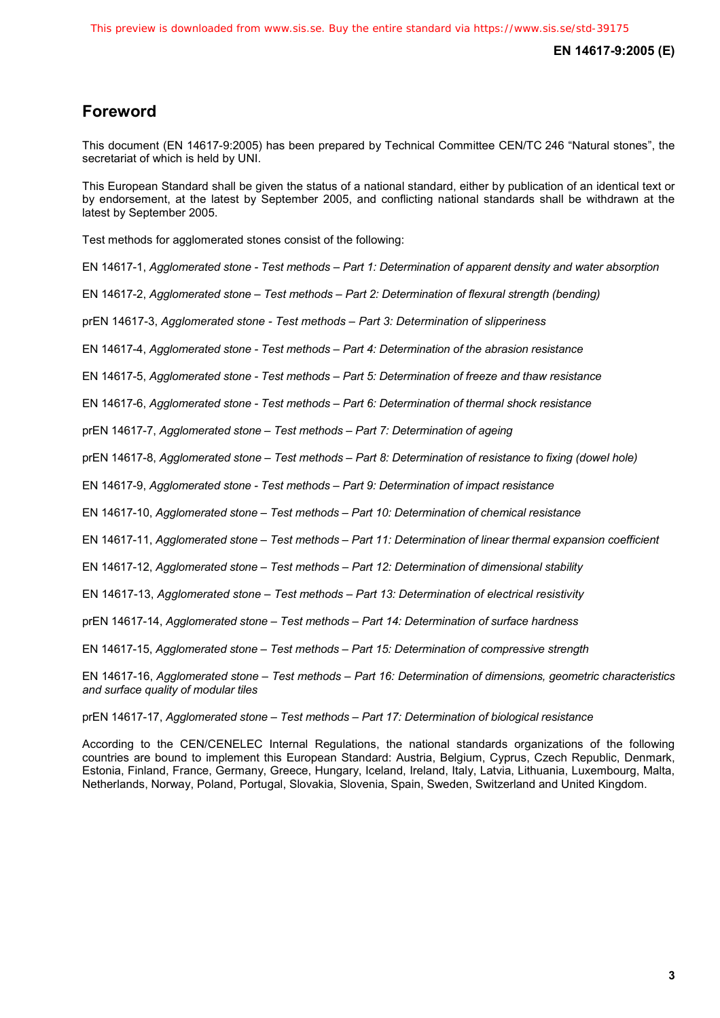**EN 14617-9:2005 (E)** 

### **Foreword**

This document (EN 14617-9:2005) has been prepared by Technical Committee CEN/TC 246 "Natural stones", the secretariat of which is held by UNI.

This European Standard shall be given the status of a national standard, either by publication of an identical text or by endorsement, at the latest by September 2005, and conflicting national standards shall be withdrawn at the latest by September 2005.

Test methods for agglomerated stones consist of the following:

EN 14617-1, *Agglomerated stone - Test methods – Part 1: Determination of apparent density and water absorption*

EN 14617-2, *Agglomerated stone – Test methods – Part 2: Determination of flexural strength (bending)*

prEN 14617-3, *Agglomerated stone - Test methods – Part 3: Determination of slipperiness*

EN 14617-4, *Agglomerated stone - Test methods – Part 4: Determination of the abrasion resistance*

EN 14617-5, *Agglomerated stone - Test methods – Part 5: Determination of freeze and thaw resistance*

EN 14617-6, *Agglomerated stone - Test methods – Part 6: Determination of thermal shock resistance* 

prEN 14617-7, *Agglomerated stone – Test methods – Part 7: Determination of ageing* 

prEN 14617-8, *Agglomerated stone – Test methods – Part 8: Determination of resistance to fixing (dowel hole)*

EN 14617-9, *Agglomerated stone - Test methods – Part 9: Determination of impact resistance*

EN 14617-10, *Agglomerated stone – Test methods – Part 10: Determination of chemical resistance*

EN 14617-11, *Agglomerated stone – Test methods – Part 11: Determination of linear thermal expansion coefficient* 

EN 14617-12, *Agglomerated stone – Test methods – Part 12: Determination of dimensional stability* 

EN 14617-13, *Agglomerated stone – Test methods – Part 13: Determination of electrical resistivity*

prEN 14617-14, *Agglomerated stone – Test methods – Part 14: Determination of surface hardness* 

EN 14617-15, *Agglomerated stone – Test methods – Part 15: Determination of compressive strength* 

EN 14617-16, *Agglomerated stone – Test methods – Part 16: Determination of dimensions, geometric characteristics and surface quality of modular tiles*

prEN 14617-17, *Agglomerated stone – Test methods – Part 17: Determination of biological resistance*

According to the CEN/CENELEC Internal Regulations, the national standards organizations of the following countries are bound to implement this European Standard: Austria, Belgium, Cyprus, Czech Republic, Denmark, Estonia, Finland, France, Germany, Greece, Hungary, Iceland, Ireland, Italy, Latvia, Lithuania, Luxembourg, Malta, Netherlands, Norway, Poland, Portugal, Slovakia, Slovenia, Spain, Sweden, Switzerland and United Kingdom.